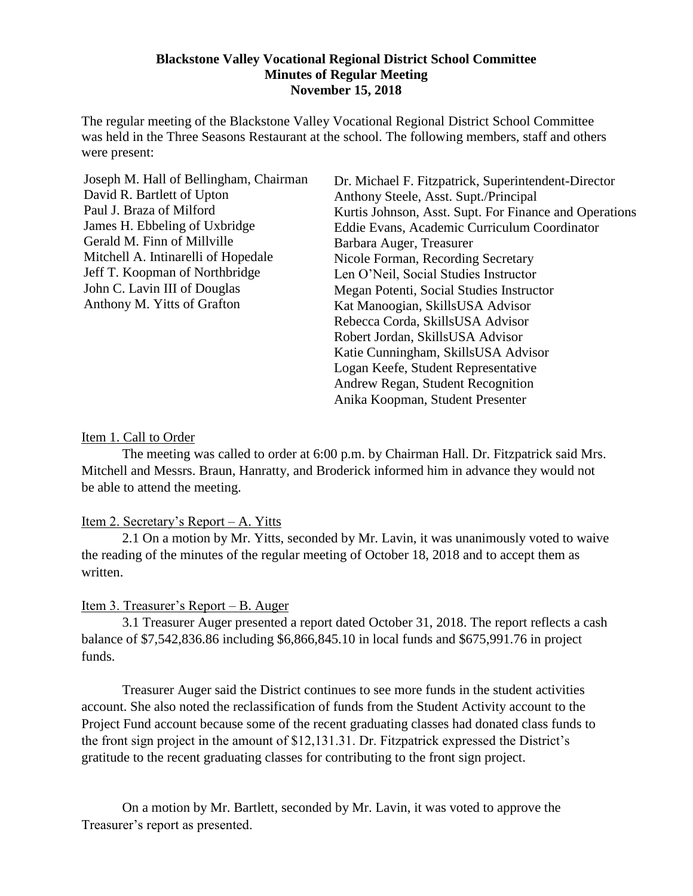#### **Blackstone Valley Vocational Regional District School Committee Minutes of Regular Meeting November 15, 2018**

The regular meeting of the Blackstone Valley Vocational Regional District School Committee was held in the Three Seasons Restaurant at the school. The following members, staff and others were present:

Joseph M. Hall of Bellingham, Chairman David R. Bartlett of Upton Paul J. Braza of Milford James H. Ebbeling of Uxbridge Gerald M. Finn of Millville Mitchell A. Intinarelli of Hopedale Jeff T. Koopman of Northbridge John C. Lavin III of Douglas Anthony M. Yitts of Grafton

Dr. Michael F. Fitzpatrick, Superintendent-Director Anthony Steele, Asst. Supt./Principal Kurtis Johnson, Asst. Supt. For Finance and Operations Eddie Evans, Academic Curriculum Coordinator Barbara Auger, Treasurer Nicole Forman, Recording Secretary Len O'Neil, Social Studies Instructor Megan Potenti, Social Studies Instructor Kat Manoogian, SkillsUSA Advisor Rebecca Corda, SkillsUSA Advisor Robert Jordan, SkillsUSA Advisor Katie Cunningham, SkillsUSA Advisor Logan Keefe, Student Representative Andrew Regan, Student Recognition Anika Koopman, Student Presenter

#### Item 1. Call to Order

The meeting was called to order at 6:00 p.m. by Chairman Hall. Dr. Fitzpatrick said Mrs. Mitchell and Messrs. Braun, Hanratty, and Broderick informed him in advance they would not be able to attend the meeting.

# Item 2. Secretary's Report – A. Yitts

2.1 On a motion by Mr. Yitts, seconded by Mr. Lavin, it was unanimously voted to waive the reading of the minutes of the regular meeting of October 18, 2018 and to accept them as written.

# Item 3. Treasurer's Report – B. Auger

3.1 Treasurer Auger presented a report dated October 31, 2018. The report reflects a cash balance of \$7,542,836.86 including \$6,866,845.10 in local funds and \$675,991.76 in project funds.

Treasurer Auger said the District continues to see more funds in the student activities account. She also noted the reclassification of funds from the Student Activity account to the Project Fund account because some of the recent graduating classes had donated class funds to the front sign project in the amount of \$12,131.31. Dr. Fitzpatrick expressed the District's gratitude to the recent graduating classes for contributing to the front sign project.

On a motion by Mr. Bartlett, seconded by Mr. Lavin, it was voted to approve the Treasurer's report as presented.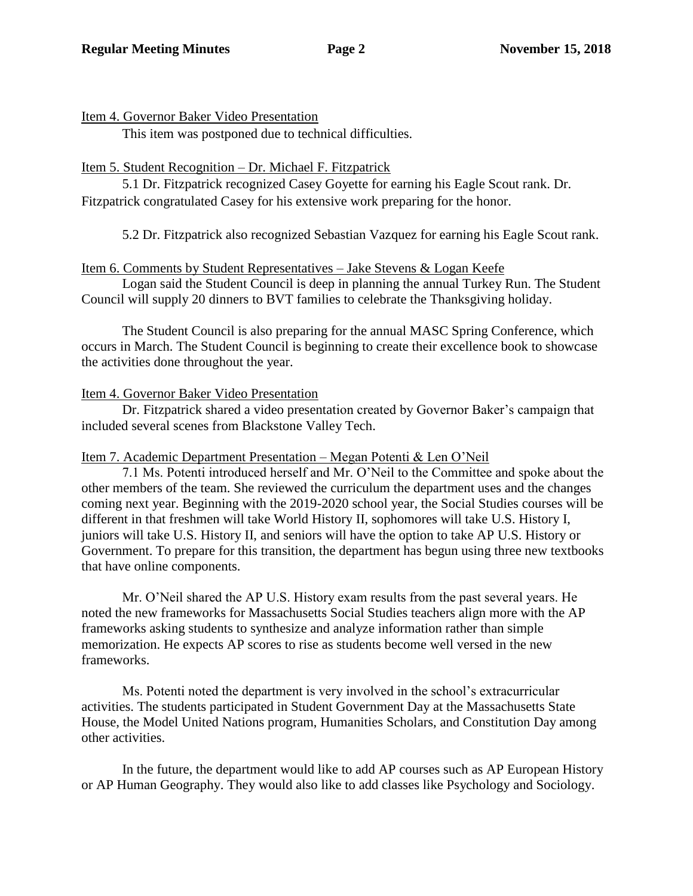#### Item 4. Governor Baker Video Presentation

This item was postponed due to technical difficulties.

# Item 5. Student Recognition – Dr. Michael F. Fitzpatrick

5.1 Dr. Fitzpatrick recognized Casey Goyette for earning his Eagle Scout rank. Dr. Fitzpatrick congratulated Casey for his extensive work preparing for the honor.

5.2 Dr. Fitzpatrick also recognized Sebastian Vazquez for earning his Eagle Scout rank.

#### Item 6. Comments by Student Representatives – Jake Stevens & Logan Keefe

Logan said the Student Council is deep in planning the annual Turkey Run. The Student Council will supply 20 dinners to BVT families to celebrate the Thanksgiving holiday.

The Student Council is also preparing for the annual MASC Spring Conference, which occurs in March. The Student Council is beginning to create their excellence book to showcase the activities done throughout the year.

# Item 4. Governor Baker Video Presentation

Dr. Fitzpatrick shared a video presentation created by Governor Baker's campaign that included several scenes from Blackstone Valley Tech.

#### Item 7. Academic Department Presentation – Megan Potenti & Len O'Neil

7.1 Ms. Potenti introduced herself and Mr. O'Neil to the Committee and spoke about the other members of the team. She reviewed the curriculum the department uses and the changes coming next year. Beginning with the 2019-2020 school year, the Social Studies courses will be different in that freshmen will take World History II, sophomores will take U.S. History I, juniors will take U.S. History II, and seniors will have the option to take AP U.S. History or Government. To prepare for this transition, the department has begun using three new textbooks that have online components.

Mr. O'Neil shared the AP U.S. History exam results from the past several years. He noted the new frameworks for Massachusetts Social Studies teachers align more with the AP frameworks asking students to synthesize and analyze information rather than simple memorization. He expects AP scores to rise as students become well versed in the new frameworks.

Ms. Potenti noted the department is very involved in the school's extracurricular activities. The students participated in Student Government Day at the Massachusetts State House, the Model United Nations program, Humanities Scholars, and Constitution Day among other activities.

In the future, the department would like to add AP courses such as AP European History or AP Human Geography. They would also like to add classes like Psychology and Sociology.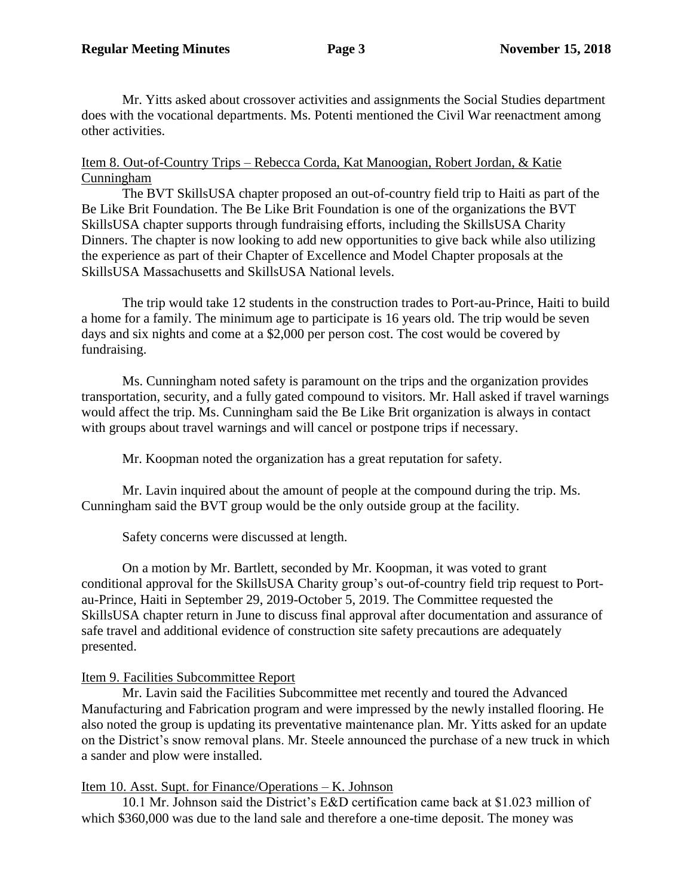Mr. Yitts asked about crossover activities and assignments the Social Studies department does with the vocational departments. Ms. Potenti mentioned the Civil War reenactment among other activities.

#### Item 8. Out-of-Country Trips – Rebecca Corda, Kat Manoogian, Robert Jordan, & Katie Cunningham

The BVT SkillsUSA chapter proposed an out-of-country field trip to Haiti as part of the Be Like Brit Foundation. The Be Like Brit Foundation is one of the organizations the BVT SkillsUSA chapter supports through fundraising efforts, including the SkillsUSA Charity Dinners. The chapter is now looking to add new opportunities to give back while also utilizing the experience as part of their Chapter of Excellence and Model Chapter proposals at the SkillsUSA Massachusetts and SkillsUSA National levels.

The trip would take 12 students in the construction trades to Port-au-Prince, Haiti to build a home for a family. The minimum age to participate is 16 years old. The trip would be seven days and six nights and come at a \$2,000 per person cost. The cost would be covered by fundraising.

Ms. Cunningham noted safety is paramount on the trips and the organization provides transportation, security, and a fully gated compound to visitors. Mr. Hall asked if travel warnings would affect the trip. Ms. Cunningham said the Be Like Brit organization is always in contact with groups about travel warnings and will cancel or postpone trips if necessary.

Mr. Koopman noted the organization has a great reputation for safety.

Mr. Lavin inquired about the amount of people at the compound during the trip. Ms. Cunningham said the BVT group would be the only outside group at the facility.

Safety concerns were discussed at length.

On a motion by Mr. Bartlett, seconded by Mr. Koopman, it was voted to grant conditional approval for the SkillsUSA Charity group's out-of-country field trip request to Portau-Prince, Haiti in September 29, 2019-October 5, 2019. The Committee requested the SkillsUSA chapter return in June to discuss final approval after documentation and assurance of safe travel and additional evidence of construction site safety precautions are adequately presented.

# Item 9. Facilities Subcommittee Report

Mr. Lavin said the Facilities Subcommittee met recently and toured the Advanced Manufacturing and Fabrication program and were impressed by the newly installed flooring. He also noted the group is updating its preventative maintenance plan. Mr. Yitts asked for an update on the District's snow removal plans. Mr. Steele announced the purchase of a new truck in which a sander and plow were installed.

# Item 10. Asst. Supt. for Finance/Operations – K. Johnson

10.1 Mr. Johnson said the District's E&D certification came back at \$1.023 million of which \$360,000 was due to the land sale and therefore a one-time deposit. The money was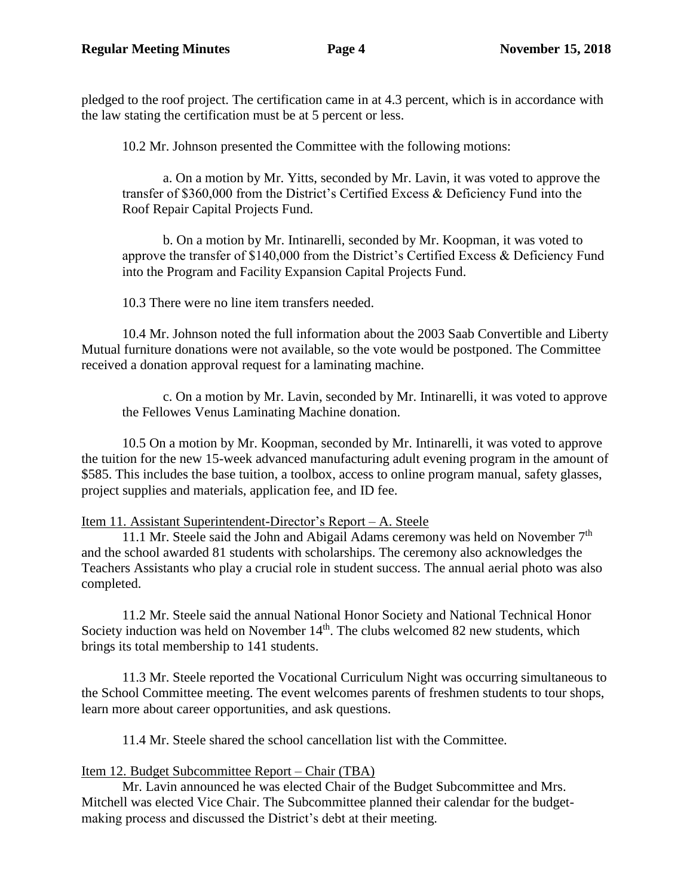pledged to the roof project. The certification came in at 4.3 percent, which is in accordance with the law stating the certification must be at 5 percent or less.

10.2 Mr. Johnson presented the Committee with the following motions:

a. On a motion by Mr. Yitts, seconded by Mr. Lavin, it was voted to approve the transfer of \$360,000 from the District's Certified Excess & Deficiency Fund into the Roof Repair Capital Projects Fund.

b. On a motion by Mr. Intinarelli, seconded by Mr. Koopman, it was voted to approve the transfer of \$140,000 from the District's Certified Excess & Deficiency Fund into the Program and Facility Expansion Capital Projects Fund.

10.3 There were no line item transfers needed.

10.4 Mr. Johnson noted the full information about the 2003 Saab Convertible and Liberty Mutual furniture donations were not available, so the vote would be postponed. The Committee received a donation approval request for a laminating machine.

c. On a motion by Mr. Lavin, seconded by Mr. Intinarelli, it was voted to approve the Fellowes Venus Laminating Machine donation.

10.5 On a motion by Mr. Koopman, seconded by Mr. Intinarelli, it was voted to approve the tuition for the new 15-week advanced manufacturing adult evening program in the amount of \$585. This includes the base tuition, a toolbox, access to online program manual, safety glasses, project supplies and materials, application fee, and ID fee.

Item 11. Assistant Superintendent-Director's Report – A. Steele

11.1 Mr. Steele said the John and Abigail Adams ceremony was held on November  $7<sup>th</sup>$ and the school awarded 81 students with scholarships. The ceremony also acknowledges the Teachers Assistants who play a crucial role in student success. The annual aerial photo was also completed.

11.2 Mr. Steele said the annual National Honor Society and National Technical Honor Society induction was held on November  $14<sup>th</sup>$ . The clubs welcomed 82 new students, which brings its total membership to 141 students.

11.3 Mr. Steele reported the Vocational Curriculum Night was occurring simultaneous to the School Committee meeting. The event welcomes parents of freshmen students to tour shops, learn more about career opportunities, and ask questions.

11.4 Mr. Steele shared the school cancellation list with the Committee.

# Item 12. Budget Subcommittee Report – Chair (TBA)

Mr. Lavin announced he was elected Chair of the Budget Subcommittee and Mrs. Mitchell was elected Vice Chair. The Subcommittee planned their calendar for the budgetmaking process and discussed the District's debt at their meeting.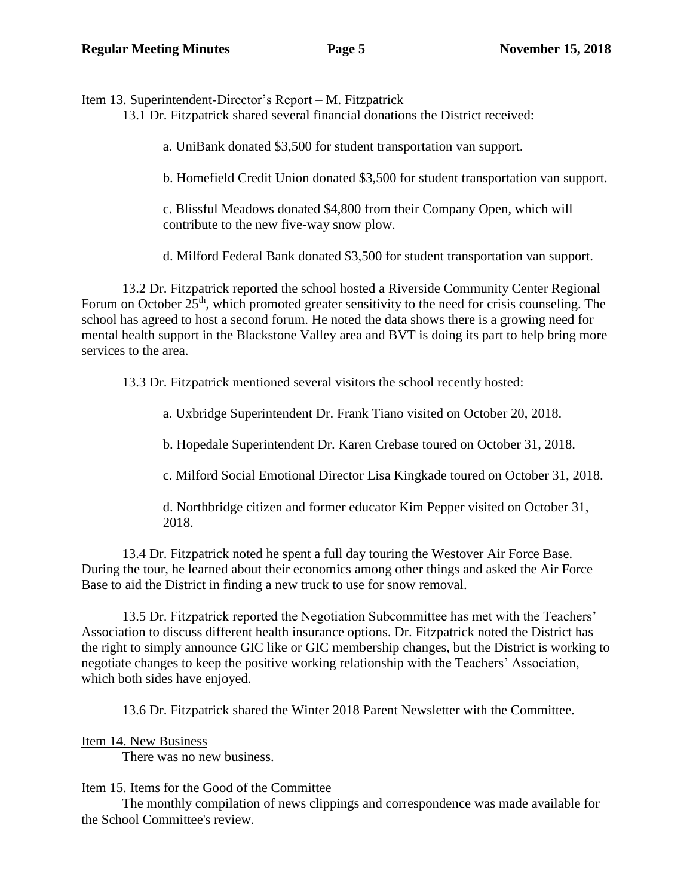Item 13. Superintendent-Director's Report – M. Fitzpatrick

13.1 Dr. Fitzpatrick shared several financial donations the District received:

a. UniBank donated \$3,500 for student transportation van support.

b. Homefield Credit Union donated \$3,500 for student transportation van support.

c. Blissful Meadows donated \$4,800 from their Company Open, which will contribute to the new five-way snow plow.

d. Milford Federal Bank donated \$3,500 for student transportation van support.

13.2 Dr. Fitzpatrick reported the school hosted a Riverside Community Center Regional Forum on October 25<sup>th</sup>, which promoted greater sensitivity to the need for crisis counseling. The school has agreed to host a second forum. He noted the data shows there is a growing need for mental health support in the Blackstone Valley area and BVT is doing its part to help bring more services to the area.

13.3 Dr. Fitzpatrick mentioned several visitors the school recently hosted:

a. Uxbridge Superintendent Dr. Frank Tiano visited on October 20, 2018.

b. Hopedale Superintendent Dr. Karen Crebase toured on October 31, 2018.

c. Milford Social Emotional Director Lisa Kingkade toured on October 31, 2018.

d. Northbridge citizen and former educator Kim Pepper visited on October 31, 2018.

13.4 Dr. Fitzpatrick noted he spent a full day touring the Westover Air Force Base. During the tour, he learned about their economics among other things and asked the Air Force Base to aid the District in finding a new truck to use for snow removal.

13.5 Dr. Fitzpatrick reported the Negotiation Subcommittee has met with the Teachers' Association to discuss different health insurance options. Dr. Fitzpatrick noted the District has the right to simply announce GIC like or GIC membership changes, but the District is working to negotiate changes to keep the positive working relationship with the Teachers' Association, which both sides have enjoyed.

13.6 Dr. Fitzpatrick shared the Winter 2018 Parent Newsletter with the Committee.

Item 14. New Business

There was no new business.

# Item 15. Items for the Good of the Committee

The monthly compilation of news clippings and correspondence was made available for the School Committee's review.